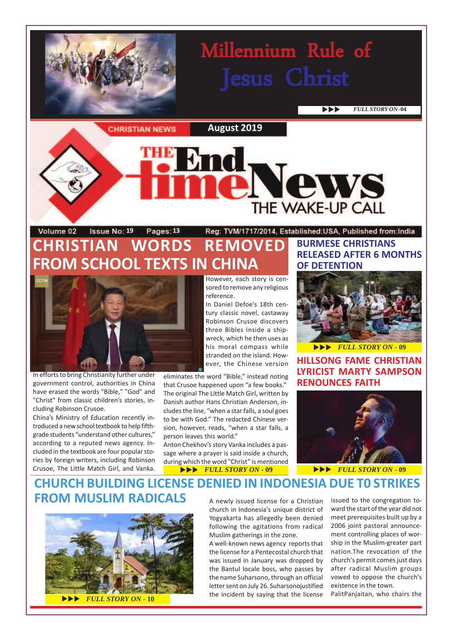# Millennium Rule of Jesus Christ

**EVLL STORY ON -04** 

**CHRISTIAN NEWS** 

**August 2019**

#### Volume 02 **1981 19 Pages: 13** Reg: TVM/1717/2014, Established:USA, Published from:India **CHRISTIAN WORDS REMOVED FROM SCHOOL TEXTS IN CHINA**



In efforts to bring Christianity further under government control, authorities in China have erased the words "Bible," "God" and "Christ" from classic children's stories, including Robinson Crusoe.

China's Ministry of Education recently introduced a new school textbook to help fifthgrade students "understand other cultures," according to a reputed news agency. Included in the textbook are four popular stories by foreign writers, including Robinson Crusoe, The Little Match Girl, and Vanka.

However, each story is censored to remove any religious reference.

In Daniel Defoe's 18th century classic novel, castaway Robinson Crusoe discovers three Bibles inside a shipwreck, which he then uses as his moral compass while stranded on the island. However, the Chinese version

eliminates the word "Bible," instead noting that Crusoe happened upon "a few books." The original The Little Match Girl, written by Danish author Hans Christian Anderson, includes the line, "when a star falls, a soul goes to be with God." The redacted Chinese version, however, reads, "when a star falls, a person leaves this world."

 $\blacktriangleright\blacktriangleright\blacktriangleright$  FULL STORY ON - 09 Anton Chekhov's story Vanka includes a passage where a prayer is said inside a church, during which the word "Christ" is mentioned

### **BURMESE CHRISTIANS RELEASED AFTER 6 MONTHS OF DETENTION**

Vews

THE WAKE-UP CALL



**HILLSONG FAME CHRISTIAN LYRICIST MARTY SAMPSON RENOUNCES FAITH**



**EVEL STORY ON - 09** 

#### A newly issued license for a Christian **CHURCH BUILDING LICENSE DENIED IN INDONESIA DUE T0 STRIKES FROM MUSLIM RADICALS** A newly issued license for a Christian issued to the congregation to-



church in Indonesia's unique district of Yogyakarta has allegedly been denied following the agitations from radical Muslim gatherings in the zone.

A well-known news agency reports that the license for a Pentecostal church that was issued in January was dropped by the Bantul locale boss, who passes by the name Suharsono, through an official letter sent on July 26. Suharsonojustified the incident by saying that the license ward the start of the year did not meet prerequisites built up by a 2006 joint pastoral announcement controlling places of worship in the Muslim-greater part nation.The revocation of the church's permit comes just days after radical Muslim groups vowed to oppose the church's existence in the town.

PalitPanjaitan, who chairs the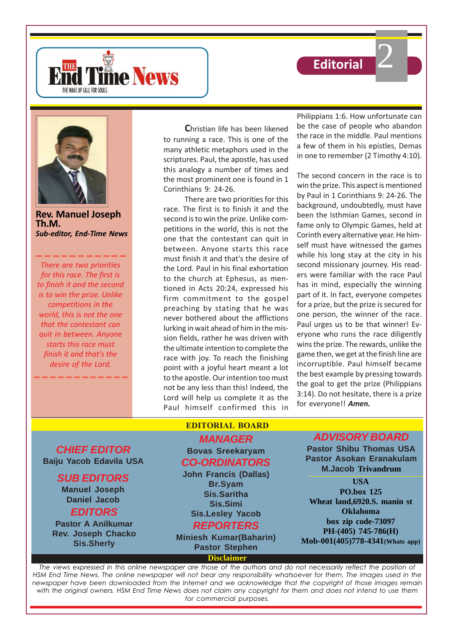





**Rev. Manuel Joseph Th.M.** *Sub-editor, End-Time News*

*There are two priorities for this race. The first is to finish it and the second is to win the prize. Unlike competitions in the world, this is not the one that the contestant can quit in between. Anyone starts this race must finish it and that's the desire of the Lord.*

**C**hristian life has been likened to running a race. This is one of the many athletic metaphors used in the scriptures. Paul, the apostle, has used this analogy a number of times and the most prominent one is found in 1 Corinthians 9: 24-26.

There are two priorities for this race. The first is to finish it and the second is to win the prize. Unlike competitions in the world, this is not the one that the contestant can quit in between. Anyone starts this race must finish it and that's the desire of the Lord. Paul in his final exhortation to the church at Ephesus, as mentioned in Acts 20:24, expressed his firm commitment to the gospel preaching by stating that he was never bothered about the afflictions lurking in wait ahead of him in the mission fields, rather he was driven with the ultimate intention to complete the race with joy. To reach the finishing point with a joyful heart meant a lot to the apostle. Our intention too must not be any less than this! Indeed, the Lord will help us complete it as the Paul himself confirmed this in

Philippians 1:6. How unfortunate can be the case of people who abandon the race in the middle. Paul mentions a few of them in his epistles, Demas in one to remember (2 Timothy 4:10).

2

The second concern in the race is to win the prize. This aspect is mentioned by Paul in 1 Corinthians 9: 24-26. The background, undoubtedly, must have been the Isthmian Games, second in fame only to Olympic Games, held at Corinth every alternative year. He himself must have witnessed the games while his long stay at the city in his second missionary journey. His readers were familiar with the race Paul has in mind, especially the winning part of it. In fact, everyone competes for a prize, but the prize is secured for one person, the winner of the race. Paul urges us to be that winner! Everyone who runs the race diligently wins the prize. The rewards, unlike the game then, we get at the finish line are incorruptible. Paul himself became the best example by pressing towards the goal to get the prize (Philippians 3:14). Do not hesitate, there is a prize for everyone!! *Amen.*

**CHIEF EDITOR Baiju Yacob Edavila USA**

## **SUB EDITORS**

**Manuel Joseph Daniel Jacob EDITORS**

**Pastor A Anilkumar Rev. Joseph Chacko Sis.Sherly**

## **EDITORIAL BOARD**

### **MANAGER Bovas Sreekaryam CO-ORDINATORS**

**John Francis (Dallas) Br.Syam Sis.Saritha Sis.Simi Sis.Lesley Yacob**

## **REPORTERS**

**Miniesh Kumar(Baharin) Pastor Stephen**

**Disclaimer**

## **ADVISORY BOARD**

**Pastor Shibu Thomas USA Pastor Asokan Eranakulam M.Jacob Trivandrum**

#### **USA PO.box 125 Wheat land,6920.S. manin st Oklahoma box zip code-73097 PH-(405) 745-786(H) Mob-001(405)778-4341(Whats app)**

*The views expressed in this online newspaper are those of the authors and do not necessarily reflect the position of HSM End Time News. The online newspaper will not bear any responsibility whatsoever for them. The images used in the newspaper have been downloaded from the Internet and we acknowledge that the copyright of those images remain with the original owners. HSM End Time News does not claim any copyright for them and does not intend to use them for commercial purposes.*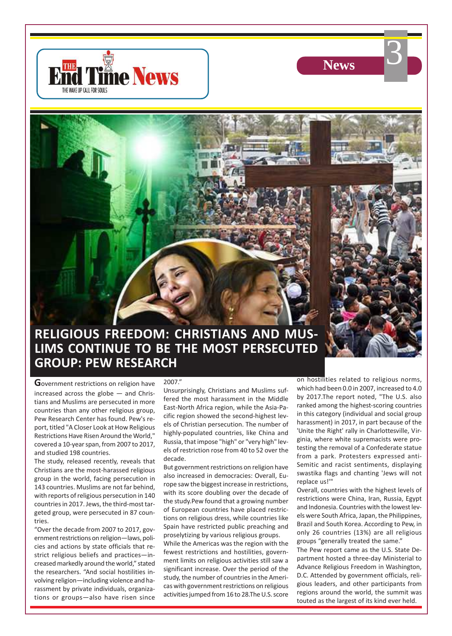



3

# **RELIGIOUS FREEDOM: CHRISTIANS AND MUS-LIMS CONTINUE TO BE THE MOST PERSECUTED GROUP: PEW RESEARCH**

**G**overnment restrictions on religion have increased across the globe — and Christians and Muslims are persecuted in more countries than any other religious group, Pew Research Center has found. Pew's report, titled "A Closer Look at How Religious Restrictions Have Risen Around the World," covered a 10-year span, from 2007 to 2017, and studied 198 countries.

The study, released recently, reveals that Christians are the most-harassed religious group in the world, facing persecution in 143 countries. Muslims are not far behind, with reports of religious persecution in 140 countries in 2017. Jews, the third-most targeted group, were persecuted in 87 countries.

"Over the decade from 2007 to 2017, government restrictions on religion—laws, policies and actions by state officials that restrict religious beliefs and practices—increased markedly around the world," stated the researchers. "And social hostilities involving religion—including violence and harassment by private individuals, organizations or groups—also have risen since

#### 2007."

Unsurprisingly, Christians and Muslims suffered the most harassment in the Middle East-North Africa region, while the Asia-Pacific region showed the second-highest levels of Christian persecution. The number of highly-populated countries, like China and Russia, that impose "high" or "very high" levels of restriction rose from 40 to 52 over the decade.

But government restrictions on religion have also increased in democracies: Overall, Europe saw the biggest increase in restrictions, with its score doubling over the decade of the study.Pew found that a growing number of European countries have placed restrictions on religious dress, while countries like Spain have restricted public preaching and proselytizing by various religious groups.

While the Americas was the region with the fewest restrictions and hostilities, government limits on religious activities still saw a significant increase. Over the period of the study, the number of countries in the Americas with government restrictions on religious activities jumped from 16 to 28.The U.S. score on hostilities related to religious norms, which had been 0.0 in 2007, increased to 4.0 by 2017.The report noted, "The U.S. also ranked among the highest-scoring countries in this category (individual and social group harassment) in 2017, in part because of the 'Unite the Right' rally in Charlottesville, Virginia, where white supremacists were protesting the removal of a Confederate statue from a park. Protesters expressed anti-Semitic and racist sentiments, displaying swastika flags and chanting 'Jews will not replace us!'"

Overall, countries with the highest levels of restrictions were China, Iran, Russia, Egypt and Indonesia. Countries with the lowest levels were South Africa, Japan, the Philippines, Brazil and South Korea. According to Pew, in only 26 countries (13%) are all religious groups "generally treated the same."

The Pew report came as the U.S. State Department hosted a three-day Ministerial to Advance Religious Freedom in Washington, D.C. Attended by government officials, religious leaders, and other participants from regions around the world, the summit was touted as the largest of its kind ever held.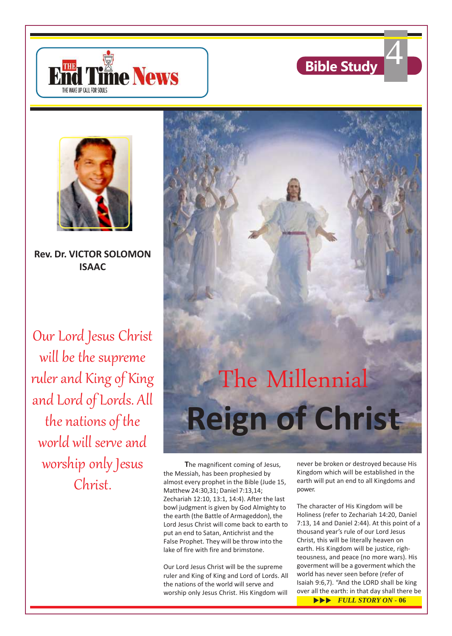





**Rev. Dr. VICTOR SOLOMON ISAAC**

Our Lord Jesus Christ will be the supreme ruler and King of King and Lord of Lords. All the nations of the world will serve and worship only Jesus Christ.



**T**he magnificent coming of Jesus, the Messiah, has been prophesied by almost every prophet in the Bible (Jude 15, Matthew 24:30,31; Daniel 7:13,14; Zechariah 12:10, 13:1, 14:4). After the last bowl judgment is given by God Almighty to the earth (the Battle of Armageddon), the Lord Jesus Christ will come back to earth to put an end to Satan, Antichrist and the False Prophet. They will be throw into the lake of fire with fire and brimstone.

Our Lord Jesus Christ will be the supreme ruler and King of King and Lord of Lords. All the nations of the world will serve and worship only Jesus Christ. His Kingdom will

never be broken or destroyed because His Kingdom which will be established in the earth will put an end to all Kingdoms and power.

The character of His Kingdom will be Holiness (refer to Zechariah 14:20, Daniel 7:13, 14 and Daniel 2:44). At this point of a thousand year's rule of our Lord Jesus Christ, this will be literally heaven on earth. His Kingdom will be justice, righteousness, and peace (no more wars). His goverment will be a goverment which the world has never seen before (refer of Isaiah 9:6,7). "And the LORD shall be king over all the earth: in that day shall there be

 $\blacktriangleright\blacktriangleright\blacktriangleright$  *FULL STORY ON* - 06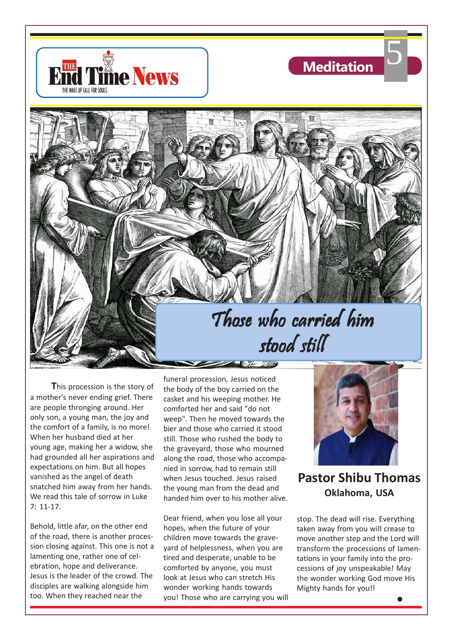





**T**his procession is the story of a mother's never ending grief. There are people thronging around. Her only son, a young man, the joy and the comfort of a family, is no more! When her husband died at her young age, making her a widow, she had grounded all her aspirations and expectations on him. But all hopes vanished as the angel of death snatched him away from her hands. We read this tale of sorrow in Luke 7: 11-17.

Behold, little afar, on the other end of the road, there is another procession closing against. This one is not a lamenting one, rather one of celebration, hope and deliverance. Jesus is the leader of the crowd. The disciples are walking alongside him too. When they reached near the

funeral procession, Jesus noticed the body of the boy carried on the casket and his weeping mother. He comforted her and said "do not weep". Then he moved towards the bier and those who carried it stood still. Those who rushed the body to the graveyard, those who mourned along the road, those who accompanied in sorrow, had to remain still when Jesus touched. Jesus raised the young man from the dead and handed him over to his mother alive.

 $\frac{1}{\sqrt{2}}$ 

Dear friend, when you lose all your hopes, when the future of your children move towards the graveyard of helplessness, when you are tired and desperate, unable to be comforted by anyone, you must look at Jesus who can stretch His wonder working hands towards you! Those who are carrying you will



**Pastor Shibu Thomas Oklahoma, USA**

stop. The dead will rise. Everything taken away from you will crease to move another step and the Lord will transform the processions of lamentations in your family into the processions of joy unspeakable! May the wonder working God move His Mighty hands for you!!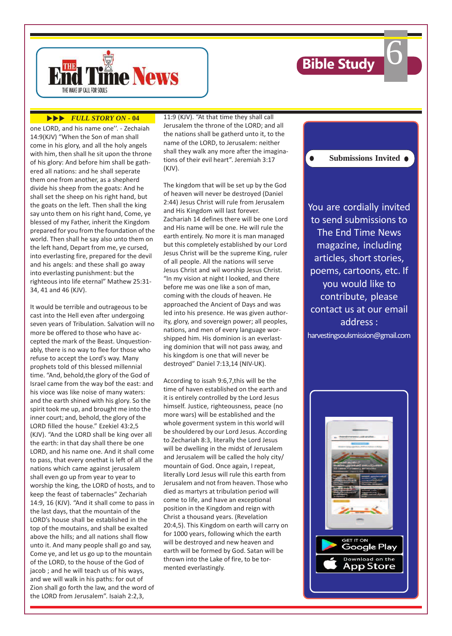

 $\bullet$ 

6



#### **EVEL STORY ON - 04**

one LORD, and his name one''. - Zechaiah 14:9(KJV) "When the Son of man shall come in his glory, and all the holy angels with him, then shall he sit upon the throne of his glory: And before him shall be gathered all nations: and he shall seperate them one from another, as a shepherd divide his sheep from the goats: And he shall set the sheep on his right hand, but the goats on the left. Then shall the king say unto them on his right hand, Come, ye blessed of my Father, inherit the Kingdom prepared for you from the foundation of the world. Then shall he say also unto them on the left hand, Depart from me, ye cursed, into everlasting fire, prepared for the devil and his angels: and these shall go away into everlasting punishment: but the righteous into life eternal" Mathew 25:31- 34, 41 and 46 (KJV).

It would be terrible and outrageous to be cast into the Hell even after undergoing seven years of Tribulation. Salvation will no more be offered to those who have accepted the mark of the Beast. Unquestionably, there is no way to flee for those who refuse to accept the Lord's way. Many prophets told of this blessed millennial time. "And, behold,the glory of the God of Israel came from the way bof the east: and his vioce was like noise of many waters: and the earth shined with his glory. So the spirit took me up, and brought me into the inner court; and, behold, the glory of the LORD filled the house." Ezekiel 43:2,5 (KJV). "And the LORD shall be king over all the earth: in that day shall there be one LORD, and his name one. And it shall come to pass, that every onethat is left of all the nations which came against jerusalem shall even go up from year to year to worship the king, the LORD of hosts, and to keep the feast of tabernacles" Zechariah 14:9, 16 (KJV). "And it shall come to pass in the last days, that the mountain of the LORD's house shall be established in the top of the moutains, and shall be exalted above the hills; and all nations shall flow unto it. And many people shall go and say, Come ye, and let us go up to the mountain of the LORD, to the house of the God of jacob ; and he will teach us of his ways, and we will walk in his paths: for out of Zion shall go forth the law, and the word of the LORD from Jerusalem". Isaiah 2:2,3,

11:9 (KJV). "At that time they shall call Jerusalem the throne of the LORD; and all the nations shall be gatherd unto it, to the name of the LORD, to Jerusalem: neither shall they walk any more after the imaginations of their evil heart". Jeremiah 3:17 (KJV).

The kingdom that will be set up by the God of heaven will never be destroyed (Daniel 2:44) Jesus Christ will rule from Jerusalem and His Kingdom will last forever. Zachariah 14 defines there will be one Lord and His name will be one. He will rule the earth entirely. No more it is man managed but this completely established by our Lord Jesus Christ will be the supreme King, ruler of all people. All the nations will serve Jesus Christ and wil worship Jesus Christ. "In my vision at night I looked, and there before me was one like a son of man, coming with the clouds of heaven. He approached the Ancient of Days and was led into his presence. He was given authority, glory, and sovereign power; all peoples, nations, and men of every language worshipped him. His dominion is an everlasting dominion that will not pass away, and his kingdom is one that will never be destroyed" Daniel 7:13,14 (NIV-UK).

According to issah 9:6,7,this will be the time of haven established on the earth and it is entirely controlled by the Lord Jesus himself. Justice, righteousness, peace (no more wars) will be established and the whole goverment system in this world will be shouldered by our Lord Jesus. According to Zechariah 8:3, literally the Lord Jesus will be dwelling in the midst of Jerusalem and Jerusalem will be called the holy city/ mountain of God. Once again, I repeat, literally Lord Jesus will rule this earth from Jerusalem and not from heaven. Those who died as martyrs at tribulation period will come to life, and have an exceptional position in the Kingdom and reign with Christ a thousand years. (Revelation 20:4,5). This Kingdom on earth will carry on for 1000 years, following which the earth will be destroyed and new heaven and earth will be formed by God. Satan will be thrown into the Lake of fire, to be tormented everlastingly.

You are cordially invited to send submissions to The End Time News magazine, including articles, short stories, poems, cartoons, etc. If you would like to contribute, please contact us at our email address :

**Submissions Invited**

harvestingsoulsmission@gmail.com

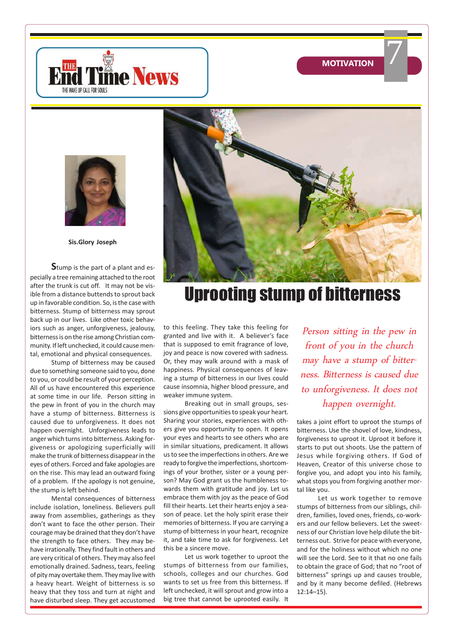**MOTIVATION**

7





**Sis.Glory Joseph**

**S**tump is the part of a plant and especially a tree remaining attached to the root after the trunk is cut off. It may not be visible from a distance buttends to sprout back up in favorable condition. So, is the case with bitterness. Stump of bitterness may sprout back up in our lives. Like other toxic behaviors such as anger, unforgiveness, jealousy, bitterness is on the rise among Christian community. If left unchecked, it could cause mental, emotional and physical consequences.

Stump of bitterness may be caused due to something someone said to you, done to you, or could be result of your perception. All of us have encountered this experience at some time in our life. Person sitting in the pew in front of you in the church may have a stump of bitterness. Bitterness is caused due to unforgiveness. It does not happen overnight. Unforgiveness leads to anger which turns into bitterness. Asking forgiveness or apologizing superficially will make the trunk of bitterness disappear in the eyes of others. Forced and fake apologies are on the rise. This may lead an outward fixing of a problem. If the apology is not genuine, the stump is left behind.

Mental consequences of bitterness include isolation, loneliness. Believers pull away from assemblies, gatherings as they don't want to face the other person. Their courage may be drained that they don't have the strength to face others. They may behave irrationally. They find fault in others and are very critical of others. They may also feel emotionally drained. Sadness, tears, feeling of pity may overtake them. They may live with a heavy heart. Weight of bitterness is so heavy that they toss and turn at night and have disturbed sleep. They get accustomed



# Uprooting stump of bitterness

to this feeling. They take this feeling for granted and live with it. A believer's face that is supposed to emit fragrance of love, joy and peace is now covered with sadness. Or, they may walk around with a mask of happiness. Physical consequences of leaving a stump of bitterness in our lives could cause insomnia, higher blood pressure, and weaker immune system.

Breaking out in small groups, sessions give opportunities to speak your heart. Sharing your stories, experiences with others give you opportunity to open. It opens your eyes and hearts to see others who are in similar situations, predicament. It allows us to see the imperfections in others. Are we ready to forgive the imperfections, shortcomings of your brother, sister or a young person? May God grant us the humbleness towards them with gratitude and joy. Let us embrace them with joy as the peace of God fill their hearts. Let their hearts enjoy a season of peace. Let the holy spirit erase their memories of bitterness. If you are carrying a stump of bitterness in your heart, recognize it, and take time to ask for forgiveness. Let this be a sincere move.

Let us work together to uproot the stumps of bitterness from our families, schools, colleges and our churches. God wants to set us free from this bitterness. If left unchecked, it will sprout and grow into a big tree that cannot be uprooted easily. It

Person sitting in the pew in front of you in the church may have a stump of bitterness. Bitterness is caused due to unforgiveness. It does not happen overnight.

takes a joint effort to uproot the stumps of bitterness. Use the shovel of love, kindness, forgiveness to uproot it. Uproot it before it starts to put out shoots. Use the pattern of Jesus while forgiving others. If God of Heaven, Creator of this universe chose to forgive you, and adopt you into his family, what stops you from forgiving another mortal like you.

Let us work together to remove stumps of bitterness from our siblings, children, families, loved ones, friends, co-workers and our fellow believers. Let the sweetness of our Christian love help dilute the bitterness out. Strive for peace with everyone, and for the holiness without which no one will see the Lord. See to it that no one fails to obtain the grace of God; that no "root of bitterness" springs up and causes trouble, and by it many become defiled. (Hebrews 12:14–15).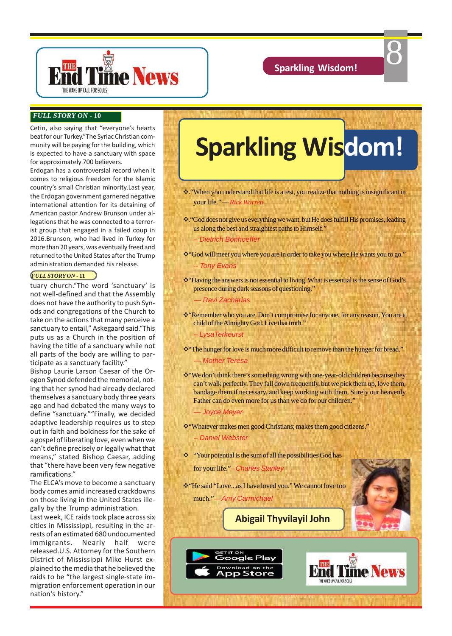

8

#### *FULL STORY ON* **- 10**

Cetin, also saying that "everyone's hearts beat for our Turkey."The Syriac Christian community will be paying for the building, which is expected to have a sanctuary with space for approximately 700 believers.

Erdogan has a controversial record when it comes to religious freedom for the Islamic country's small Christian minority.Last year, the Erdogan government garnered negative international attention for its detaining of American pastor Andrew Brunson under allegations that he was connected to a terrorist group that engaged in a failed coup in 2016.Brunson, who had lived in Turkey for more than 20 years, was eventually freed and returned to the United States after the Trump administration demanded his release.

#### *FULL STORY ON* **- 11**

tuary church."The word 'sanctuary' is not well-defined and that the Assembly does not have the authority to push Synods and congregations of the Church to take on the actions that many perceive a sanctuary to entail," Askegaard said."This puts us as a Church in the position of having the title of a sanctuary while not all parts of the body are willing to participate as a sanctuary facility."

Bishop Laurie Larson Caesar of the Oregon Synod defended the memorial, noting that her synod had already declared themselves a sanctuary body three years ago and had debated the many ways to define "sanctuary.""Finally, we decided adaptive leadership requires us to step out in faith and boldness for the sake of a gospel of liberating love, even when we can't define precisely or legally what that means," stated Bishop Caesar, adding that "there have been very few negative ramifications."

The ELCA's move to become a sanctuary body comes amid increased crackdowns on those living in the United States illegally by the Trump administration.

Last week, ICE raids took place across six cities in Mississippi, resulting in the arrests of an estimated 680 undocumented immigrants. Nearly half were released.U.S. Attorney for the Southern District of Mississippi Mike Hurst explained to the media that he believed the raids to be "the largest single-state immigration enforcement operation in our nation's history."

# **Sparkling Wisdom!**

\* "When you understand that life is a test, you realize that nothing is insignificant in your life." *— Rick Warren*

- \* "God does not give us everything we want, but He does fulfill His promises, leading us along the best and straightest paths to Himself."
	- Dietrich Bonhoeffer
- \* "God will meet you where you are in order to take you where He wants you to go." – Tony Evans
- v"Having the answers is not essential to living. What is essential is the sense of God's presence during dark seasons of questioning."
	- Ravi Zacharias
- \* Remember who you are. Don't compromise for anyone, for any reason. You are a child of the Almighty God. Live that truth."
	- LysaTerkeurst
- \*\*\*\*The hunger for love is much more difficult to remove than the hunger for bread." — Mother Teresa
- v"We don't think there's something wrong with one-year-old children because they can't walk perfectly. They fall down frequently, but we pick them up, love them, bandage them if necessary, and keep working with them. Surely our heavenly Father can do even more for us than we do for our children." — Joyce Meyer
- v"Whatever makes men good Christians; makes them good citizens." – Daniel Webster
- \* "Your potential is the sum of all the possibilities God has
	- for your life."Charles Stanley
- \* "He said "Love...as I have loved you." We cannot love too

much."*—* Amy Carmichael

GET IT ON

Google Play Download on the App Store





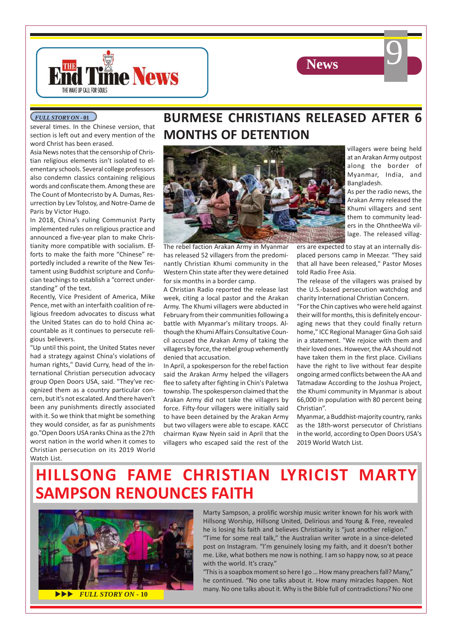



#### *FULL STORY ON* **- 01**

several times. In the Chinese version, that section is left out and every mention of the word Christ has been erased.

Asia News notes that the censorship of Christian religious elements isn't isolated to elementary schools. Several college professors also condemn classics containing religious words and confiscate them. Among these are The Count of Montecristo by A. Dumas, Resurrection by Lev Tolstoy, and Notre-Dame de Paris by Victor Hugo.

In 2018, China's ruling Communist Party implemented rules on religious practice and announced a five-year plan to make Christianity more compatible with socialism. Efforts to make the faith more "Chinese" reportedly included a rewrite of the New Testament using Buddhist scripture and Confucian teachings to establish a "correct understanding" of the text.

Recently, Vice President of America, Mike Pence, met with an interfaith coalition of religious freedom advocates to discuss what the United States can do to hold China accountable as it continues to persecute religious believers.

"Up until this point, the United States never had a strategy against China's violations of human rights," David Curry, head of the international Christian persecution advocacy group Open Doors USA, said. "They've recognized them as a country particular concern, but it's not escalated. And there haven't been any punishments directly associated with it. So we think that might be something they would consider, as far as punishments go."Open Doors USA ranks China as the 27th worst nation in the world when it comes to Christian persecution on its 2019 World Watch List.

## **BURMESE CHRISTIANS RELEASED AFTER 6 MONTHS OF DETENTION**



The rebel faction Arakan Army in Myanmar has released 52 villagers from the predominantly Christian Khumi community in the Western Chin state after they were detained for six months in a border camp.

A Christian Radio reported the release last week, citing a local pastor and the Arakan Army. The Khumi villagers were abducted in February from their communities following a battle with Myanmar's military troops. Although the Khumi Affairs Consultative Council accused the Arakan Army of taking the villagers by force, the rebel group vehemently denied that accusation.

In April, a spokesperson for the rebel faction said the Arakan Army helped the villagers flee to safety after fighting in Chin's Paletwa township. The spokesperson claimed that the Arakan Army did not take the villagers by force. Fifty-four villagers were initially said to have been detained by the Arakan Army but two villagers were able to escape. KACC chairman Kyaw Nyein said in April that the villagers who escaped said the rest of the

villagers were being held at an Arakan Army outpost along the border of Myanmar, India, and Bangladesh.

9

As per the radio news, the Arakan Army released the Khumi villagers and sent them to community leaders in the OhntheeWa village. The released villag-

ers are expected to stay at an internally displaced persons camp in Meezar. "They said that all have been released," Pastor Moses told Radio Free Asia.

The release of the villagers was praised by the U.S.-based persecution watchdog and charity International Christian Concern.

"For the Chin captives who were held against their will for months, this is definitely encouraging news that they could finally return home," ICC Regional Manager Gina Goh said in a statement. "We rejoice with them and their loved ones. However, the AA should not have taken them in the first place. Civilians have the right to live without fear despite ongoing armed conflicts between the AA and Tatmadaw According to the Joshua Project, the Khumi community in Myanmar is about 66,000 in population with 80 percent being Christian".

Myanmar, a Buddhist-majority country, ranks as the 18th-worst persecutor of Christians in the world, according to Open Doors USA's 2019 World Watch List.

# **HILLSONG FAME CHRISTIAN LYRICIST MARTY SAMPSON RENOUNCES FAITH**



**UPPENDENT STORY ON** - 10

Marty Sampson, a prolific worship music writer known for his work with Hillsong Worship, Hillsong United, Delirious and Young & Free, revealed he is losing his faith and believes Christianity is "just another religion." "Time for some real talk," the Australian writer wrote in a since-deleted

post on Instagram. "I'm genuinely losing my faith, and it doesn't bother me. Like, what bothers me now is nothing. I am so happy now, so at peace with the world. It's crazy."

"This is a soapbox moment so here I go … How many preachers fall? Many," he continued. "No one talks about it. How many miracles happen. Not many. No one talks about it. Why is the Bible full of contradictions? No one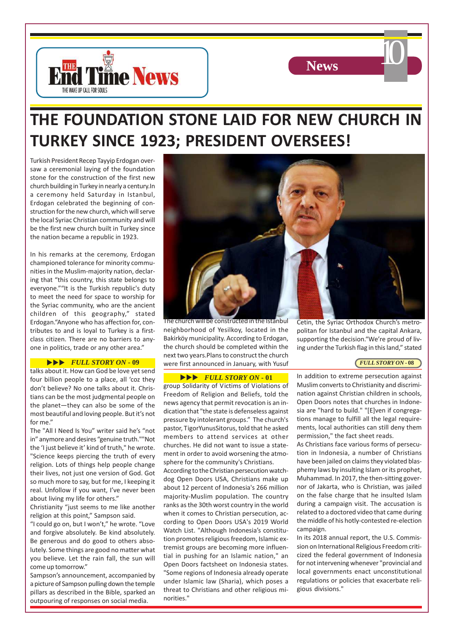



# **THE FOUNDATION STONE LAID FOR NEW CHURCH IN TURKEY SINCE 1923; PRESIDENT OVERSEES!**

Turkish President Recep Tayyip Erdogan oversaw a ceremonial laying of the foundation stone for the construction of the first new church building in Turkey in nearly a century.In a ceremony held Saturday in Istanbul, Erdogan celebrated the beginning of construction for the new church, which will serve the local Syriac Christian community and will be the first new church built in Turkey since the nation became a republic in 1923.

In his remarks at the ceremony, Erdogan championed tolerance for minority communities in the Muslim-majority nation, declaring that "this country, this state belongs to everyone.""It is the Turkish republic's duty to meet the need for space to worship for the Syriac community, who are the ancient children of this geography," stated Erdogan."Anyone who has affection for, contributes to and is loyal to Turkey is a firstclass citizen. There are no barriers to anyone in politics, trade or any other area."

#### **EULL STORY ON - 09**

talks about it. How can God be love yet send four billion people to a place, all 'coz they don't believe? No one talks about it. Christians can be the most judgmental people on the planet—they can also be some of the most beautiful and loving people. But it's not for me."

The "All I Need Is You" writer said he's "not in" anymore and desires "genuine truth.""Not the 'I just believe it' kind of truth," he wrote. "Science keeps piercing the truth of every religion. Lots of things help people change their lives, not just one version of God. Got so much more to say, but for me, I keeping it real. Unfollow if you want, I've never been about living my life for others."

Christianity "just seems to me like another religion at this point," Sampson said.

"I could go on, but I won't," he wrote. "Love and forgive absolutely. Be kind absolutely. Be generous and do good to others absolutely. Some things are good no matter what you believe. Let the rain fall, the sun will come up tomorrow."

Sampson's announcement, accompanied by a picture of Sampson pulling down the temple pillars as described in the Bible, sparked an outpouring of responses on social media.



The church will be constructed in the Istanbul neighborhood of Yesilkoy, located in the Bakirköy municipality. According to Erdogan, the church should be completed within the next two years.Plans to construct the church were first announced in January, with Yusuf

#### **EVLL STORY ON - 01**

group Solidarity of Victims of Violations of Freedom of Religion and Beliefs, told the news agency that permit revocation is an indication that "the state is defenseless against pressure by intolerant groups." The church's pastor, TigorYunusSitorus, told that he asked members to attend services at other churches. He did not want to issue a statement in order to avoid worsening the atmosphere for the community's Christians.

According to the Christian persecution watchdog Open Doors USA, Christians make up about 12 percent of Indonesia's 266 million majority-Muslim population. The country ranks as the 30th worst country in the world when it comes to Christian persecution, according to Open Doors USA's 2019 World Watch List. "Although Indonesia's constitution promotes religious freedom, Islamic extremist groups are becoming more influential in pushing for an Islamic nation," an Open Doors factsheet on Indonesia states. "Some regions of Indonesia already operate under Islamic law (Sharia), which poses a threat to Christians and other religious minorities."

Cetin, the Syriac Orthodox Church's metropolitan for Istanbul and the capital Ankara, supporting the decision."We're proud of living under the Turkish flag in this land," stated

#### *FULL STORY ON* **- 08**

In addition to extreme persecution against Muslim converts to Christianity and discrimination against Christian children in schools, Open Doors notes that churches in Indonesia are "hard to build." "[E]ven if congregations manage to fulfill all the legal requirements, local authorities can still deny them permission," the fact sheet reads.

As Christians face various forms of persecution in Indonesia, a number of Christians have been jailed on claims they violated blasphemy laws by insulting Islam or its prophet, Muhammad. In 2017, the then-sitting governor of Jakarta, who is Christian, was jailed on the false charge that he insulted Islam during a campaign visit. The accusation is related to a doctored video that came during the middle of his hotly-contested re-election campaign.

In its 2018 annual report, the U.S. Commission on International Religious Freedom criticized the federal government of Indonesia for not intervening whenever "provincial and local governments enact unconstitutional regulations or policies that exacerbate religious divisions."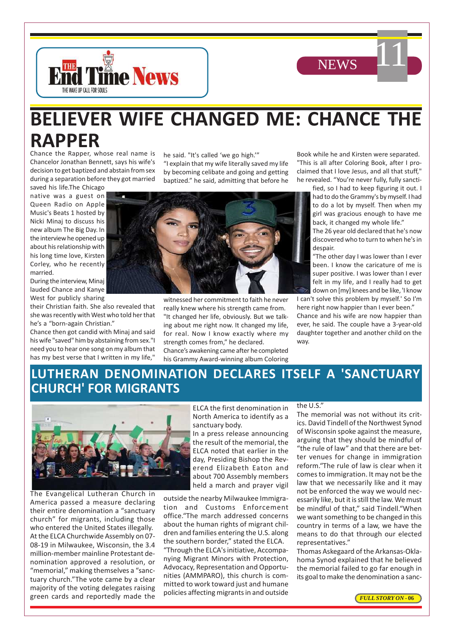



# **BELIEVER WIFE CHANGED ME: CHANCE THE RAPPER**

Chance the Rapper, whose real name is Chancelor Jonathan Bennett, says his wife's decision to get baptized and abstain from sex during a separation before they got married

saved his life.The Chicago native was a guest on Queen Radio on Apple Music's Beats 1 hosted by Nicki Minaj to discuss his new album The Big Day. In the interview he opened up about his relationship with his long time love, Kirsten Corley, who he recently married.

During the interview, Minaj lauded Chance and Kanye West for publicly sharing

their Christian faith. She also revealed that she was recently with West who told her that he's a "born-again Christian."

Chance then got candid with Minaj and said his wife "saved" him by abstaining from sex."I need you to hear one song on my album that has my best verse that I written in my life,"

he said. "It's called 'we go high.'"

"I explain that my wife literally saved my life by becoming celibate and going and getting baptized." he said, admitting that before he



witnessed her commitment to faith he never really knew where his strength came from. "It changed her life, obviously. But we talking about me right now. It changed my life, for real. Now I know exactly where my strength comes from," he declared. Chance's awakening came after he completed his Grammy Award-winning album Coloring Book while he and Kirsten were separated. "This is all after Coloring Book, after I proclaimed that I love Jesus, and all that stuff," he revealed. "You're never fully, fully sancti-

> fied, so I had to keep figuring it out. I had to do the Grammy's by myself. I had to do a lot by myself. Then when my girl was gracious enough to have me back, it changed my whole life."

> The 26 year old declared that he's now discovered who to turn to when he's in despair.

> "The other day I was lower than I ever been. I know the caricature of me is super positive. I was lower than I ever felt in my life, and I really had to get down on [my] knees and be like, 'I know

I can't solve this problem by myself.' So I'm here right now happier than I ever been."

Chance and his wife are now happier than ever, he said. The couple have a 3-year-old daughter together and another child on the way.

## **LUTHERAN DENOMINATION DECLARES ITSELF A 'SANCTUARY CHURCH' FOR MIGRANTS**



The Evangelical Lutheran Church in America passed a measure declaring their entire denomination a "sanctuary church" for migrants, including those who entered the United States illegally. At the ELCA Churchwide Assembly on 07- 08-19 in Milwaukee, Wisconsin, the 3.4 million-member mainline Protestant denomination approved a resolution, or "memorial," making themselves a "sanctuary church."The vote came by a clear majority of the voting delegates raising green cards and reportedly made the ELCA the first denomination in North America to identify as a sanctuary body.

In a press release announcing the result of the memorial, the ELCA noted that earlier in the day, Presiding Bishop the Reverend Elizabeth Eaton and about 700 Assembly members held a march and prayer vigil

outside the nearby Milwaukee Immigration and Customs Enforcement office."The march addressed concerns about the human rights of migrant children and families entering the U.S. along the southern border," stated the ELCA.

"Through the ELCA's initiative, Accompanying Migrant Minors with Protection, Advocacy, Representation and Opportunities (AMMPARO), this church is committed to work toward just and humane policies affecting migrants in and outside

#### the U.S."

The memorial was not without its critics. David Tindell of the Northwest Synod of Wisconsin spoke against the measure, arguing that they should be mindful of "the rule of law" and that there are better venues for change in immigration reform."The rule of law is clear when it comes to immigration. It may not be the law that we necessarily like and it may not be enforced the way we would necessarily like, but it is still the law. We must be mindful of that," said Tindell."When we want something to be changed in this country in terms of a law, we have the means to do that through our elected representatives."

Thomas Askegaard of the Arkansas-Oklahoma Synod explained that he believed the memorial failed to go far enough in its goal to make the denomination a sanc-

*FULL STORY ON* **- 06**